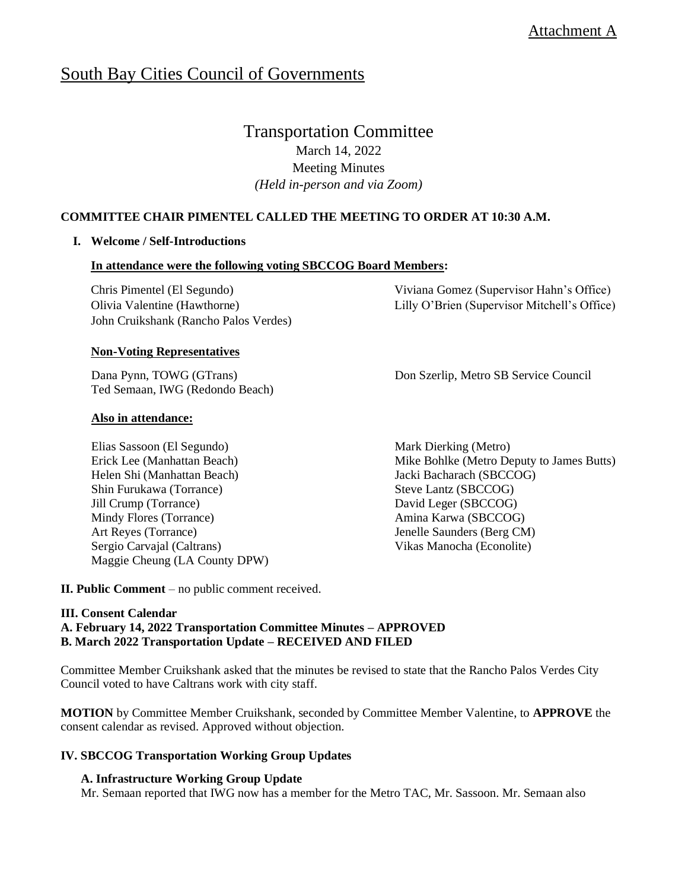# South Bay Cities Council of Governments

# Transportation Committee

March 14, 2022 Meeting Minutes *(Held in-person and via Zoom)*

# **COMMITTEE CHAIR PIMENTEL CALLED THE MEETING TO ORDER AT 10:30 A.M.**

# **I. Welcome / Self-Introductions**

# **In attendance were the following voting SBCCOG Board Members:**

Chris Pimentel (El Segundo) Olivia Valentine (Hawthorne) John Cruikshank (Rancho Palos Verdes)

# **Non-Voting Representatives**

Dana Pynn, TOWG (GTrans) Ted Semaan, IWG (Redondo Beach)

# **Also in attendance:**

Elias Sassoon (El Segundo) Erick Lee (Manhattan Beach) Helen Shi (Manhattan Beach) Shin Furukawa (Torrance) Jill Crump (Torrance) Mindy Flores (Torrance) Art Reyes (Torrance) Sergio Carvajal (Caltrans) Maggie Cheung (LA County DPW) Viviana Gomez (Supervisor Hahn's Office) Lilly O'Brien (Supervisor Mitchell's Office)

Don Szerlip, Metro SB Service Council

Mark Dierking (Metro) Mike Bohlke (Metro Deputy to James Butts) Jacki Bacharach (SBCCOG) Steve Lantz (SBCCOG) David Leger (SBCCOG) Amina Karwa (SBCCOG) Jenelle Saunders (Berg CM) Vikas Manocha (Econolite)

**II. Public Comment** – no public comment received.

# **III. Consent Calendar**

**A. February 14, 2022 Transportation Committee Minutes – APPROVED B. March 2022 Transportation Update – RECEIVED AND FILED**

Committee Member Cruikshank asked that the minutes be revised to state that the Rancho Palos Verdes City Council voted to have Caltrans work with city staff.

**MOTION** by Committee Member Cruikshank, seconded by Committee Member Valentine, to **APPROVE** the consent calendar as revised. Approved without objection.

# **IV. SBCCOG Transportation Working Group Updates**

# **A. Infrastructure Working Group Update**

Mr. Semaan reported that IWG now has a member for the Metro TAC, Mr. Sassoon. Mr. Semaan also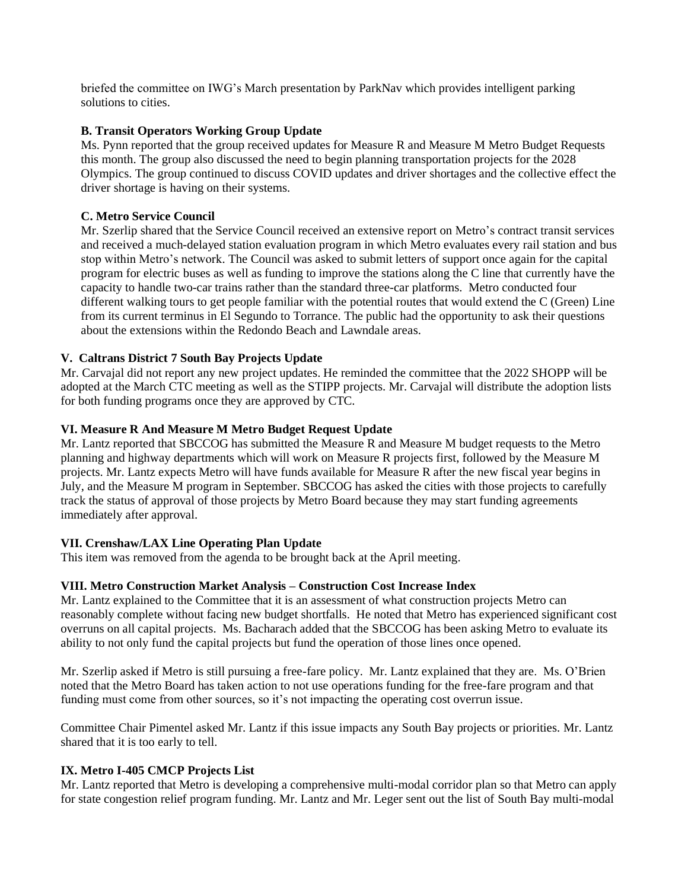briefed the committee on IWG's March presentation by ParkNav which provides intelligent parking solutions to cities.

#### **B. Transit Operators Working Group Update**

Ms. Pynn reported that the group received updates for Measure R and Measure M Metro Budget Requests this month. The group also discussed the need to begin planning transportation projects for the 2028 Olympics. The group continued to discuss COVID updates and driver shortages and the collective effect the driver shortage is having on their systems.

#### **C. Metro Service Council**

Mr. Szerlip shared that the Service Council received an extensive report on Metro's contract transit services and received a much-delayed station evaluation program in which Metro evaluates every rail station and bus stop within Metro's network. The Council was asked to submit letters of support once again for the capital program for electric buses as well as funding to improve the stations along the C line that currently have the capacity to handle two-car trains rather than the standard three-car platforms. Metro conducted four different walking tours to get people familiar with the potential routes that would extend the C (Green) Line from its current terminus in El Segundo to Torrance. The public had the opportunity to ask their questions about the extensions within the Redondo Beach and Lawndale areas.

# **V. Caltrans District 7 South Bay Projects Update**

Mr. Carvajal did not report any new project updates. He reminded the committee that the 2022 SHOPP will be adopted at the March CTC meeting as well as the STIPP projects. Mr. Carvajal will distribute the adoption lists for both funding programs once they are approved by CTC.

#### **VI. Measure R And Measure M Metro Budget Request Update**

Mr. Lantz reported that SBCCOG has submitted the Measure R and Measure M budget requests to the Metro planning and highway departments which will work on Measure R projects first, followed by the Measure M projects. Mr. Lantz expects Metro will have funds available for Measure R after the new fiscal year begins in July, and the Measure M program in September. SBCCOG has asked the cities with those projects to carefully track the status of approval of those projects by Metro Board because they may start funding agreements immediately after approval.

# **VII. Crenshaw/LAX Line Operating Plan Update**

This item was removed from the agenda to be brought back at the April meeting.

#### **VIII. Metro Construction Market Analysis – Construction Cost Increase Index**

Mr. Lantz explained to the Committee that it is an assessment of what construction projects Metro can reasonably complete without facing new budget shortfalls. He noted that Metro has experienced significant cost overruns on all capital projects. Ms. Bacharach added that the SBCCOG has been asking Metro to evaluate its ability to not only fund the capital projects but fund the operation of those lines once opened.

Mr. Szerlip asked if Metro is still pursuing a free-fare policy. Mr. Lantz explained that they are. Ms. O'Brien noted that the Metro Board has taken action to not use operations funding for the free-fare program and that funding must come from other sources, so it's not impacting the operating cost overrun issue.

Committee Chair Pimentel asked Mr. Lantz if this issue impacts any South Bay projects or priorities. Mr. Lantz shared that it is too early to tell.

# **IX. Metro I-405 CMCP Projects List**

Mr. Lantz reported that Metro is developing a comprehensive multi-modal corridor plan so that Metro can apply for state congestion relief program funding. Mr. Lantz and Mr. Leger sent out the list of South Bay multi-modal